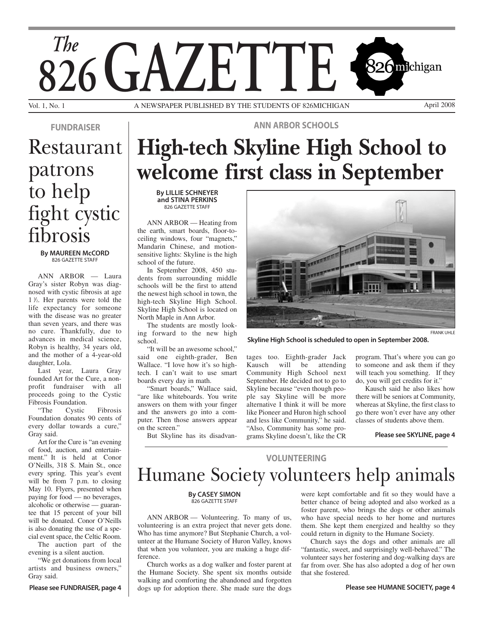

A NEWSPAPER PUBLISHED BY THE STUDENTS OF 826MICHIGAN April 2008

## Restaurant patrons to help fight cystic fibrosis *FUNDRAISER ANN ARBOR SCHOOLS*

#### *By MAUREEN McCORD* 826 GAZETTE STAFF

ANN ARBOR — Laura Gray's sister Robyn was diagnosed with cystic fibrosis at age 1 1 */*2. Her parents were told the life expectancy for someone with the disease was no greater than seven years, and there was no cure. Thankfully, due to advances in medical science, Robyn is healthy, 34 years old, and the mother of a 4-year-old daughter, Lola.

Last year, Laura Gray founded Art for the Cure, a nonprofit fundraiser with all proceeds going to the Cystic Fibrosis Foundation.

"The Cystic Fibrosis Foundation donates 90 cents of every dollar towards a cure," Gray said.

Art for the Cure is "an evening of food, auction, and entertainment." It is held at Conor O'Neills, 318 S. Main St., once every spring. This year's event will be from 7 p.m. to closing May 10. Flyers, presented when paying for food — no beverages, alcoholic or otherwise — guarantee that 15 percent of your bill will be donated. Conor O'Neills is also donating the use of a special event space, the Celtic Room.

The auction part of the evening is a silent auction.

"We get donations from local artists and business owners," Gray said.

# **High-tech Skyline High School to welcome first class in September**

*By LILLIE SCHNEYER and STINA PERKINS* 826 GAZETTE STAFF

ANN ARBOR — Heating from the earth, smart boards, floor-toceiling windows, four "magnets," Mandarin Chinese, and motionsensitive lights: Skyline is the high school of the future.

In September 2008, 450 students from surrounding middle schools will be the first to attend the newest high school in town, the high-tech Skyline High School. Skyline High School is located on North Maple in Ann Arbor.

The students are mostly looking forward to the new high school.

"It will be an awesome school," said one eighth-grader, Ben Wallace. "I love how it's so hightech. I can't wait to use smart boards every day in math.

"Smart boards," Wallace said, "are like whiteboards. You write answers on them with your finger and the answers go into a computer. Then those answers appear on the screen."

But Skyline has its disadvan-

![](_page_0_Picture_21.jpeg)

*Skyline High School is scheduled to open in September 2008.*

tages too. Eighth-grader Jack Kausch will be attending Community High School next September. He decided not to go to Skyline because "even though people say Skyline will be more alternative I think it will be more like Pioneer and Huron high school and less like Community," he said. "Also, Community has some programs Skyline doesn't, like the CR

program. That's where you can go to someone and ask them if they will teach you something. If they do, you will get credits for it."

Kausch said he also likes how there will be seniors at Community, whereas at Skyline, the first class to go there won't ever have any other classes of students above them.

*Please see SKYLINE, page 4*

### Humane Society volunteers help animals *VOLUNTEERING*

#### *By CASEY SIMON* 826 GAZETTE STAFF

ANN ARBOR — Volunteering. To many of us, volunteering is an extra project that never gets done. Who has time anymore? But Stephanie Church, a volunteer at the Humane Society of Huron Valley, knows that when you volunteer, you are making a huge difference.

Church works as a dog walker and foster parent at the Humane Society. She spent six months outside walking and comforting the abandoned and forgotten Please see FUNDRAISER, page 4  $\parallel$  dogs up for adoption there. She made sure the dogs **Please see HUMANE SOCIETY**, page 4

were kept comfortable and fit so they would have a better chance of being adopted and also worked as a foster parent, who brings the dogs or other animals who have special needs to her home and nurtures them. She kept them energized and healthy so they could return in dignity to the Humane Society.

Church says the dogs and other animals are all "fantastic, sweet, and surprisingly well-behaved." The volunteer says her fostering and dog-walking days are far from over. She has also adopted a dog of her own that she fostered.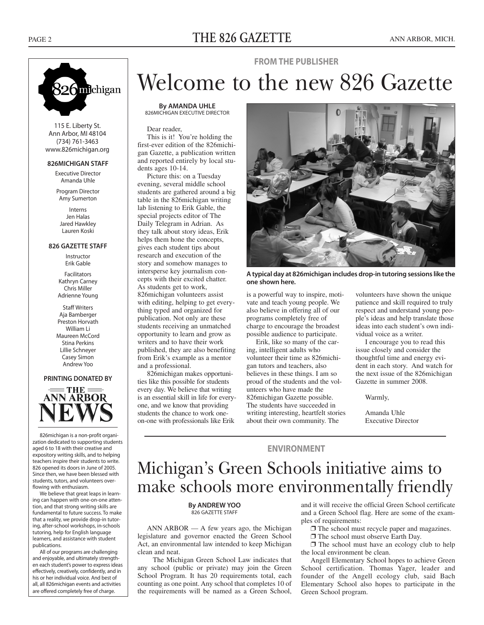### PAGE 2 **THE 826 GAZETTE** ANN ARBOR, MICH.

![](_page_1_Picture_2.jpeg)

115 E. Liberty St. Ann Arbor, MI 48104 (734) 761-3463 www.826michigan.org

#### *826MICHIGAN STAFF*

Executive Director Amanda Uhle

Program Director Amy Sumerton

Interns Jen Halas Jared Hawkley Lauren Koski

#### *826 GAZETTE STAFF*

Instructor Erik Gable

Facilitators Kathryn Carney Chris Miller Adrienne Young

Staff Writers Aja Bamberger Preston Horvath William Li Maureen McCord Stina Perkins Lillie Schneyer Casey Simon Andrew Yoo

#### *PRINTING DONATED BY*

![](_page_1_Picture_13.jpeg)

826michigan is a non-profit organization dedicated to supporting students aged 6 to 18 with their creative and expository writing skills, and to helping teachers inspire their students to write. 826 opened its doors in June of 2005. Since then, we have been blessed with students, tutors, and volunteers overflowing with enthusiasm.

We believe that great leaps in learning can happen with one-on-one attention, and that strong writing skills are fundamental to future success. To make that a reality, we provide drop-in tutoring, after-school workshops, in-schools tutoring, help for English language learners, and assistance with student publications.

All of our programs are challenging and enjoyable, and ultimately strengthen each student's power to express ideas effectively, creatively, confidently, and in his or her individual voice. And best of all, all 826michigan events and activities are offered completely free of charge.

## Welcome to the new 826 Gazette *FROM THE PUBLISHER*

*By AMANDA UHLE* 826MICHIGAN EXECUTIVE DIRECTOR

#### Dear reader,

This is it! You're holding the first-ever edition of the 826michigan Gazette, a publication written and reported entirely by local students ages 10-14.

Picture this: on a Tuesday evening, several middle school students are gathered around a big table in the 826michigan writing lab listening to Erik Gable, the special projects editor of The Daily Telegram in Adrian. As they talk about story ideas, Erik helps them hone the concepts, gives each student tips about research and execution of the story and somehow manages to intersperse key journalism concepts with their excited chatter. As students get to work, 826michigan volunteers assist with editing, helping to get everything typed and organized for publication. Not only are these students receiving an unmatched opportunity to learn and grow as writers and to have their work published, they are also benefiting from Erik's example as a mentor and a professional.

826michigan makes opportunities like this possible for students every day. We believe that writing is an essential skill in life for everyone, and we know that providing students the chance to work oneon-one with professionals like Erik

![](_page_1_Picture_23.jpeg)

*A typical day at 826michigan includes drop-in tutoring sessions like the one shown here.*

is a powerful way to inspire, motivate and teach young people. We also believe in offering all of our programs completely free of charge to encourage the broadest possible audience to participate.

Erik, like so many of the caring, intelligent adults who volunteer their time as 826michigan tutors and teachers, also believes in these things. I am so proud of the students and the volunteers who have made the 826michigan Gazette possible. The students have succeeded in writing interesting, heartfelt stories about their own community. The

volunteers have shown the unique patience and skill required to truly respect and understand young people's ideas and help translate those ideas into each student's own individual voice as a writer.

I encourage you to read this issue closely and consider the thoughtful time and energy evident in each story. And watch for the next issue of the 826michigan Gazette in summer 2008.

Warmly,

Amanda Uhle Executive Director

### *ENVIRONMENT*

### Michigan's Green Schools initiative aims to make schools more environmentally friendly

#### *By ANDREW YOO* 826 GAZETTE STAFF

ANN ARBOR — A few years ago, the Michigan legislature and governor enacted the Green School Act, an environmental law intended to keep Michigan clean and neat.

The Michigan Green School Law indicates that any school (public or private) may join the Green School Program. It has 20 requirements total, each counting as one point. Any school that completes 10 of the requirements will be named as a Green School,

and it will receive the official Green School certificate and a Green School flag. Here are some of the examples of requirements:

❐ The school must recycle paper and magazines.

❐ The school must observe Earth Day.

❐ The school must have an ecology club to help the local environment be clean.

Angell Elementary School hopes to achieve Green School certification. Thomas Yager, leader and founder of the Angell ecology club, said Bach Elementary School also hopes to participate in the Green School program.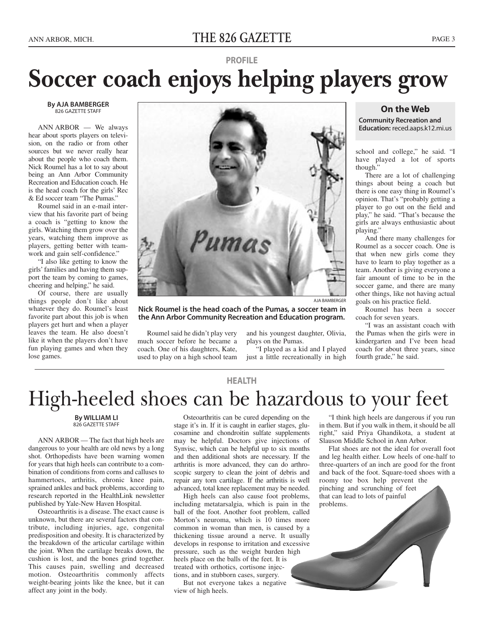#### *By AJA BAMBERGER* 826 GAZETTE STAFF

ANN ARBOR — We always hear about sports players on television, on the radio or from other sources but we never really hear about the people who coach them. Nick Roumel has a lot to say about being an Ann Arbor Community Recreation and Education coach. He is the head coach for the girls' Rec & Ed soccer team "The Pumas."

Roumel said in an e-mail interview that his favorite part of being a coach is "getting to know the girls. Watching them grow over the years, watching them improve as players, getting better with teamwork and gain self-confidence."

"I also like getting to know the girls' families and having them support the team by coming to games, cheering and helping," he said.

Of course, there are usually things people don't like about whatever they do. Roumel's least favorite part about this job is when players get hurt and when a player leaves the team. He also doesn't like it when the players don't have fun playing games and when they lose games.

![](_page_2_Picture_8.jpeg)

AJA BAMBERGER

*Nick Roumel is the head coach of the Pumas, a soccer team in the Ann Arbor Community Recreation and Education program.*

Roumel said he didn't play very much soccer before he became a coach. One of his daughters, Kate, used to play on a high school team and his youngest daughter, Olivia, plays on the Pumas.

"I played as a kid and I played just a little recreationally in high

#### *On the Web*

*Community Recreation and Education:* reced.aaps.k12.mi.us

school and college," he said. "I have played a lot of sports though."

There are a lot of challenging things about being a coach but there is one easy thing in Roumel's opinion. That's "probably getting a player to go out on the field and play," he said. "That's because the girls are always enthusiastic about playing."

And there many challenges for Roumel as a soccer coach. One is that when new girls come they have to learn to play together as a team. Another is giving everyone a fair amount of time to be in the soccer game, and there are many other things, like not having actual goals on his practice field.

Roumel has been a soccer coach for seven years.

"I was an assistant coach with the Pumas when the girls were in kindergarten and I've been head coach for about three years, since fourth grade," he said.

## *HEALTH* High-heeled shoes can be hazardous to your feet

*By WILLIAM LI* 826 GAZETTE STAFF

ANN ARBOR — The fact that high heels are dangerous to your health are old news by a long shot. Orthopedists have been warning women for years that high heels can contribute to a combination of conditions from corns and calluses to hammertoes, arthritis, chronic knee pain, sprained ankles and back problems, according to research reported in the HealthLink newsletter published by Yale-New Haven Hospital.

Osteoarthritis is a disease. The exact cause is unknown, but there are several factors that contribute, including injuries, age, congenital predisposition and obesity. It is characterized by the breakdown of the articular cartilage within the joint. When the cartilage breaks down, the cushion is lost, and the bones grind together. This causes pain, swelling and decreased motion. Osteoarthritis commonly affects weight-bearing joints like the knee, but it can affect any joint in the body.

Osteoarthritis can be cured depending on the stage it's in. If it is caught in earlier stages, glucosamine and chondroitin sulfate supplements may be helpful. Doctors give injections of Synvisc, which can be helpful up to six months and then additional shots are necessary. If the arthritis is more advanced, they can do arthroscopic surgery to clean the joint of debris and repair any torn cartilage. If the arthritis is well advanced, total knee replacement may be needed.

High heels can also cause foot problems, including metatarsalgia, which is pain in the ball of the foot. Another foot problem, called Morton's neuroma, which is 10 times more common in woman than men, is caused by a thickening tissue around a nerve. It usually develops in response to irritation and excessive pressure, such as the weight burden high heels place on the balls of the feet. It is treated with orthotics, cortisone injections, and in stubborn cases, surgery.

But not everyone takes a negative view of high heels.

"I think high heels are dangerous if you run in them. But if you walk in them, it should be all right," said Priya Ghandikota, a student at Slauson Middle School in Ann Arbor.

Flat shoes are not the ideal for overall foot and leg health either. Low heels of one-half to three-quarters of an inch are good for the front and back of the foot. Square-toed shoes with a roomy toe box help prevent the pinching and scrunching of feet that can lead to lots of painful problems.